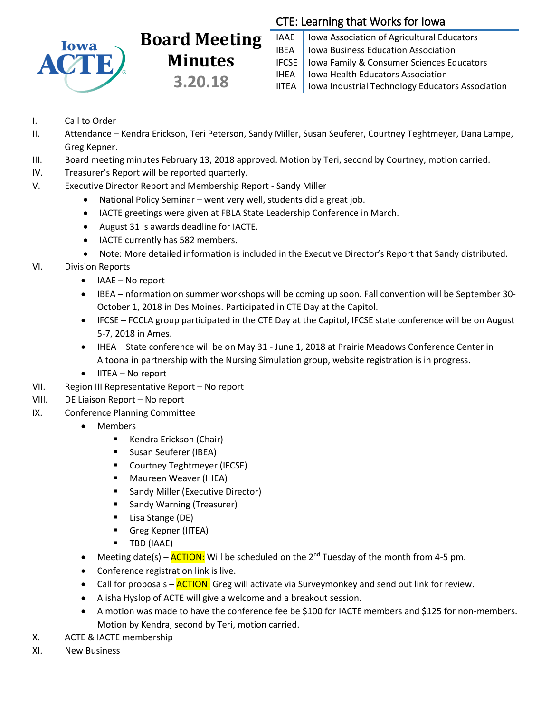

## **Board Meeting Minutes 3.20.18**

## CTE: Learning that Works for Iowa

IAAE | Iowa Association of Agricultural Educators IBEA | Iowa Business Education Association IFCSE Iowa Family & Consumer Sciences Educators IHEA | Iowa Health Educators Association IITEA | Iowa Industrial Technology Educators Association

- I. Call to Order
- II. Attendance Kendra Erickson, Teri Peterson, Sandy Miller, Susan Seuferer, Courtney Teghtmeyer, Dana Lampe, Greg Kepner.
- III. Board meeting minutes February 13, 2018 approved. Motion by Teri, second by Courtney, motion carried.
- IV. Treasurer's Report will be reported quarterly.
- V. Executive Director Report and Membership Report Sandy Miller
	- National Policy Seminar went very well, students did a great job.
	- IACTE greetings were given at FBLA State Leadership Conference in March.
	- August 31 is awards deadline for IACTE.
	- IACTE currently has 582 members.
	- Note: More detailed information is included in the Executive Director's Report that Sandy distributed.
- VI. Division Reports
	- $\bullet$  IAAE No report
	- IBEA –Information on summer workshops will be coming up soon. Fall convention will be September 30- October 1, 2018 in Des Moines. Participated in CTE Day at the Capitol.
	- IFCSE FCCLA group participated in the CTE Day at the Capitol, IFCSE state conference will be on August 5-7, 2018 in Ames.
	- IHEA State conference will be on May 31 June 1, 2018 at Prairie Meadows Conference Center in Altoona in partnership with the Nursing Simulation group, website registration is in progress.
	- $\bullet$  IITEA No report
- VII. Region III Representative Report No report
- VIII. DE Liaison Report No report
- IX. Conference Planning Committee
	- Members
		- **Kendra Erickson (Chair)**
		- **Susan Seuferer (IBEA)**
		- **E** Courtney Teghtmeyer (IFCSE)
		- **Naureen Weaver (IHEA)**
		- **Sandy Miller (Executive Director)**
		- **Sandy Warning (Treasurer)**
		- **Lisa Stange (DE)**
		- Greg Kepner (IITEA)
		- TBD (IAAE)
	- Meeting date(s)  $\overline{ACTION}$ : Will be scheduled on the 2<sup>nd</sup> Tuesday of the month from 4-5 pm.
	- Conference registration link is live.
	- Call for proposals **ACTION:** Greg will activate via Surveymonkey and send out link for review.
	- Alisha Hyslop of ACTE will give a welcome and a breakout session.
	- A motion was made to have the conference fee be \$100 for IACTE members and \$125 for non-members. Motion by Kendra, second by Teri, motion carried.
- X. ACTE & IACTE membership
- XI. New Business